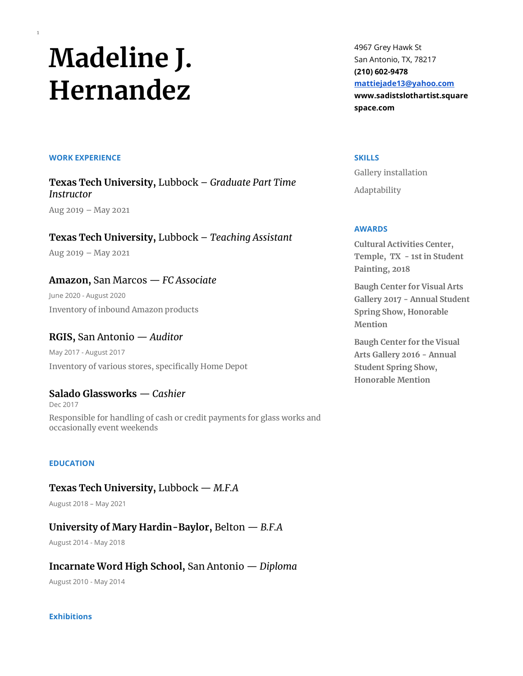# **Madeline J. Hernandez**

#### **WORK EXPERIENCE**

1

**Texas Tech University,** Lubbock – *Graduate Part Time Instructor*

Aug 2019 – May 2021

**Texas Tech University,** Lubbock – *Teaching Assistant*

Aug 2019 – May 2021

**Amazon,** San Marcos — *FC Associate*

June 2020 - August 2020 Inventory of inbound Amazon products

**RGIS,** San Antonio — *Auditor* May 2017 - August 2017 Inventory of various stores, specifically Home Depot

**Salado Glassworks** — *Cashier* Dec 2017 Responsible for handling of cash or credit payments for glass works and occasionally event weekends

## **EDUCATION**

**Texas Tech University,** Lubbock — *M.F.A*

August 2018 – May 2021

**University of Mary Hardin-Baylor,** Belton — *B.F.A*

August 2014 - May 2018

**Incarnate Word High School,** San Antonio — *Diploma*

August 2010 - May 2014

#### **Exhibitions**

4967 Grey Hawk St San Antonio, TX, 78217 **(210) 602-9478 [mattiejade13@yahoo.com](mailto:mattiejade13@yahoo.com) www.sadistslothartist.square space.com**

#### **SKILLS**

Gallery installation Adaptability

### **AWARDS**

**Cultural Activities Center, Temple, TX - 1st in Student Painting, 2018**

**Baugh Center for Visual Arts Gallery 2017 - Annual Student Spring Show, Honorable Mention**

**Baugh Center for the Visual Arts Gallery 2016 - Annual Student Spring Show, Honorable Mention**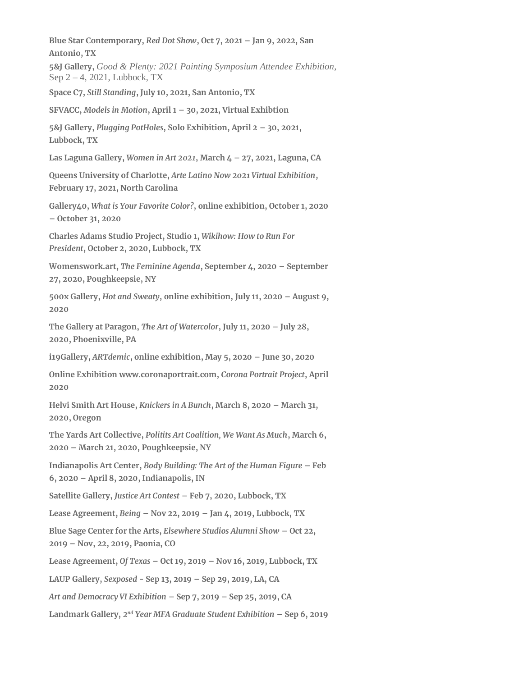**Blue Star Contemporary,** *Red Dot Show***, Oct 7, 2021 – Jan 9, 2022, San Antonio, TX**

**5&J Gallery,** *Good & Plenty: 2021 Painting Symposium Attendee Exhibition*, Sep 2 – 4, 2021, Lubbock, TX

**Space C7,** *Still Standing***, July 10, 2021, San Antonio, TX**

**SFVACC,** *Models in Motion***, April 1 – 30, 2021, Virtual Exhibtion**

**5&J Gallery,** *Plugging PotHoles***, Solo Exhibition, April 2 – 30, 2021, Lubbock, TX**

**Las Laguna Gallery,** *Women in Art 2021***, March 4 – 27, 2021, Laguna, CA**

**Queens University of Charlotte,** *Arte Latino Now 2021 Virtual Exhibition***, February 17, 2021, North Carolina**

**Gallery40,** *What is Your Favorite Color?***, online exhibition, October 1, 2020 – October 31, 2020**

**Charles Adams Studio Project, Studio 1,** *Wikihow: How to Run For President***, October 2, 2020, Lubbock, TX**

**Womenswork.art,** *The Feminine Agenda***, September 4, 2020 – September 27, 2020, Poughkeepsie, NY**

**500x Gallery,** *Hot and Sweaty***, online exhibition, July 11, 2020 – August 9, 2020**

**The Gallery at Paragon,** *The Art of Watercolor***, July 11, 2020 – July 28, 2020, Phoenixville, PA**

**i19Gallery,** *ARTdemic***, online exhibition, May 5, 2020 – June 30, 2020** 

**Online Exhibition www.coronaportrait.com,** *Corona Portrait Project***, April 2020**

**Helvi Smith Art House,** *Knickers in A Bunch***, March 8, 2020 – March 31, 2020, Oregon** 

**The Yards Art Collective,** *Politits Art Coalition, We Want As Much***, March 6, 2020 – March 21, 2020, Poughkeepsie, NY**

**Indianapolis Art Center,** *Body Building: The Art of the Human Figure* **– Feb 6, 2020 – April 8, 2020, Indianapolis, IN**

**Satellite Gallery,** *Justice Art Contest* **– Feb 7, 2020, Lubbock, TX**

**Lease Agreement,** *Being* **– Nov 22, 2019 – Jan 4, 2019, Lubbock, TX**

**Blue Sage Center for the Arts,** *Elsewhere Studios Alumni Show* **– Oct 22, 2019 – Nov, 22, 2019, Paonia, CO**

**Lease Agreement,** *Of Texas* **– Oct 19, 2019 – Nov 16, 2019, Lubbock, TX**

**LAUP Gallery,** *Sexposed* **- Sep 13, 2019 – Sep 29, 2019, LA, CA**

*Art and Democracy VI Exhibition* **– Sep 7, 2019 – Sep 25, 2019, CA**

**Landmark Gallery,** *2 nd Year MFA Graduate Student Exhibition* **– Sep 6, 2019**